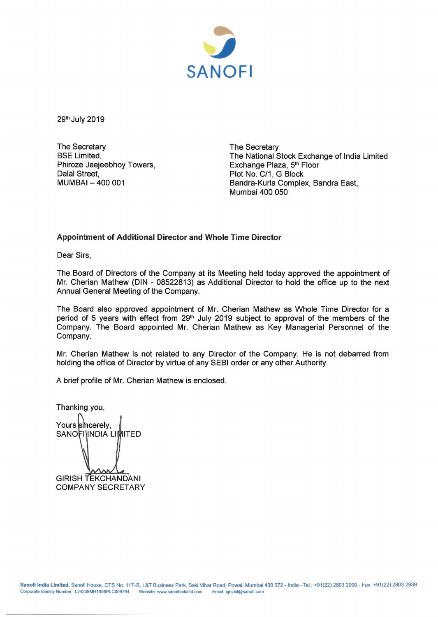

29<sup>th</sup> July 2019

The Secretary **BSE Limited,** Phiroze Jeejeebhoy Towers, Dalal Street, MUMBAI- 400 001

The Secretary The National Stock Exchange of India Limited Exchange Plaza, 5<sup>th</sup> Floor Plot No. C/1, G Block Bandra-Kurla Complex, Sandra East, Mumbai 400 050

## **Appointment of Additional Director and Whole Time Director**

Dear Sirs,

The Board of Directors of the Company at its Meeting held today approved the appointment of Mr. Cherian Mathew (DIN - 08522813) as Additional Director to hold the office up to the next Annual General Meeting of the Company.

The Board also approved appointment of Mr. Cherian Mathew as Whole Time Director for a period of 5 years with effect from 29<sup>th</sup> July 2019 subject to approval of the members of the Company. The Board appointed Mr. Cherian Mathew as Key Managerial Personnel of the Company.

Mr. Cherian Mathew is not related to any Director of the Company. He is not debarred from holding the office of Director by virtue of any SEBI order or any other Authority.

A brief profile of Mr. Cherian Mathew is enclosed.

Thanking you, Yours sincerely, SANOFI INDIA LIMITED GIRISH TEKCHANDANI COMPANY SECRETARY